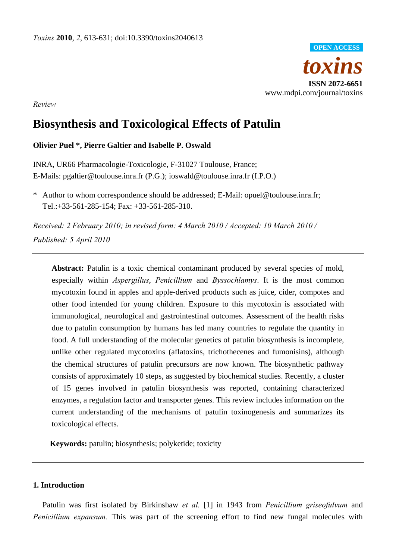

*Review* 

# **Biosynthesis and Toxicological Effects of Patulin**

## **Olivier Puel \*, Pierre Galtier and Isabelle P. Oswald**

INRA, UR66 Pharmacologie-Toxicologie, F-31027 Toulouse, France; E-Mails: pgaltier@toulouse.inra.fr (P.G.); ioswald@toulouse.inra.fr (I.P.O.)

\* Author to whom correspondence should be addressed; E-Mail: opuel@toulouse.inra.fr; Tel.:+33-561-285-154; Fax: +33-561-285-310.

*Received: 2 February 2010; in revised form: 4 March 2010 / Accepted: 10 March 2010 / Published: 5 April 2010* 

Abstract: Patulin is a toxic chemical contaminant produced by several species of mold, especially within *Aspergillus*, *Penicillium* and *Byssochlamys*. It is the most common mycotoxin found in apples and apple-derived products such as juice, cider, compotes and other food intended for young children. Exposure to this mycotoxin is associated with immunological, neurological and gastrointestinal outcomes. Assessment of the health risks due to patulin consumption by humans has led many countries to regulate the quantity in food. A full understanding of the molecular genetics of patulin biosynthesis is incomplete, unlike other regulated mycotoxins (aflatoxins, trichothecenes and fumonisins), although the chemical structures of patulin precursors are now known. The biosynthetic pathway consists of approximately 10 steps, as suggested by biochemical studies. Recently, a cluster of 15 genes involved in patulin biosynthesis was reported, containing characterized enzymes, a regulation factor and transporter genes. This review includes information on the current understanding of the mechanisms of patulin toxinogenesis and summarizes its toxicological effects.

**Keywords:** patulin; biosynthesis; polyketide; toxicity

## **1. Introduction**

Patulin was first isolated by Birkinshaw *et al.* [1] in 1943 from *Penicillium griseofulvum* and *Penicillium expansum.* This was part of the screening effort to find new fungal molecules with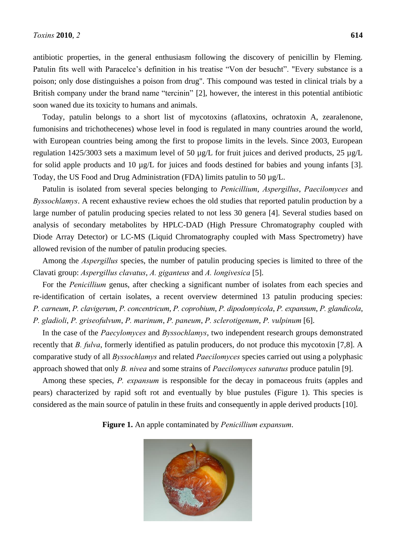antibiotic properties, in the general enthusiasm following the discovery of penicillin by Fleming. Patulin fits well with Paracelce's definition in his treatise "Von der besucht". "Every substance is a poison; only dose distinguishes a poison from drug". This compound was tested in clinical trials by a British company under the brand name "tercinin" [2], however, the interest in this potential antibiotic soon waned due its toxicity to humans and animals.

Today, patulin belongs to a short list of mycotoxins (aflatoxins, ochratoxin A, zearalenone, fumonisins and trichothecenes) whose level in food is regulated in many countries around the world, with European countries being among the first to propose limits in the levels. Since 2003, European regulation 1425/3003 sets a maximum level of 50 µg/L for fruit juices and derived products, 25 µg/L for solid apple products and 10 µg/L for juices and foods destined for babies and young infants [3]. Today, the US Food and Drug Administration (FDA) limits patulin to 50 µg/L.

Patulin is isolated from several species belonging to *Penicillium*, *Aspergillus*, *Paecilomyces* and *Byssochlamys*. A recent exhaustive review echoes the old studies that reported patulin production by a large number of patulin producing species related to not less 30 genera [4]. Several studies based on analysis of secondary metabolites by HPLC-DAD (High Pressure Chromatography coupled with Diode Array Detector) or LC-MS (Liquid Chromatography coupled with Mass Spectrometry) have allowed revision of the number of patulin producing species.

Among the *Aspergillus* species, the number of patulin producing species is limited to three of the Clavati group: *Aspergillus clavatus*, *A. giganteus* and *A. longivesica* [5].

For the *Penicillium* genus, after checking a significant number of isolates from each species and re-identification of certain isolates, a recent overview determined 13 patulin producing species: *P. carneum*, *P. clavigerum*, *P. concentricum*, *P. coprobium*, *P. dipodomyicola*, *P. expansum*, *P. glandicola*, *P. gladioli*, *P. griseofulvum*, *P. marinum*, *P. paneum*, *P. sclerotigenum*, *P. vulpinum* [6].

In the case of the *Paecylomyces* and *Byssochlamys*, two independent research groups demonstrated recently that *B. fulva*, formerly identified as patulin producers, do not produce this mycotoxin [7,8]. A comparative study of all *Byssochlamys* and related *Paecilomyces* species carried out using a polyphasic approach showed that only *B. nivea* and some strains of *Paecilomyces saturatus* produce patulin [9].

Among these species, *P. expansum* is responsible for the decay in pomaceous fruits (apples and pears) characterized by rapid soft rot and eventually by blue pustules (Figure 1). This species is considered as the main source of patulin in these fruits and consequently in apple derived products [10].

**Figure 1.** An apple contaminated by *Penicillium expansum*.

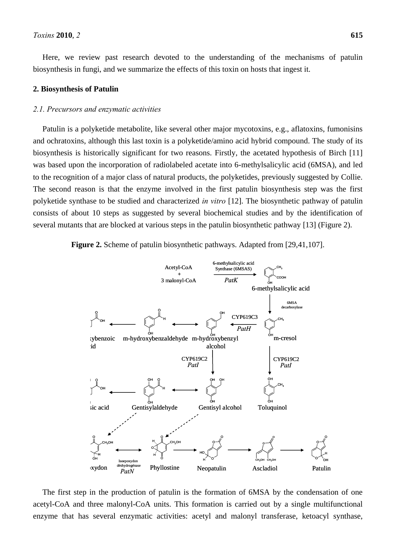Here, we review past research devoted to the understanding of the mechanisms of patulin biosynthesis in fungi, and we summarize the effects of this toxin on hosts that ingest it.

#### **2. Biosynthesis of Patulin**

## *2.1. Precursors and enzymatic activities*

Patulin is a polyketide metabolite, like several other major mycotoxins, e.g., aflatoxins, fumonisins and ochratoxins, although this last toxin is a polyketide/amino acid hybrid compound. The study of its biosynthesis is historically significant for two reasons. Firstly, the acetated hypothesis of Birch [11] was based upon the incorporation of radiolabeled acetate into 6-methylsalicylic acid (6MSA), and led to the recognition of a major class of natural products, the polyketides, previously suggested by Collie. The second reason is that the enzyme involved in the first patulin biosynthesis step was the first polyketide synthase to be studied and characterized *in vitro* [12]. The biosynthetic pathway of patulin consists of about 10 steps as suggested by several biochemical studies and by the identification of several mutants that are blocked at various steps in the patulin biosynthetic pathway [13] (Figure 2).



The first step in the production of patulin is the formation of 6MSA by the condensation of one acetyl-CoA and three malonyl-CoA units. This formation is carried out by a single multifunctional enzyme that has several enzymatic activities: acetyl and malonyl transferase, ketoacyl synthase,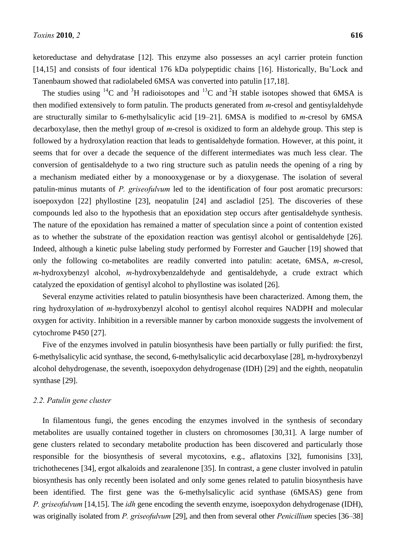ketoreductase and dehydratase [12]. This enzyme also possesses an acyl carrier protein function [14,15] and consists of four identical 176 kDa polypeptidic chains [16]. Historically, Bu'Lock and Tanenbaum showed that radiolabeled 6MSA was converted into patulin [17,18].

The studies using <sup>14</sup>C and <sup>3</sup>H radioisotopes and <sup>13</sup>C and <sup>2</sup>H stable isotopes showed that 6MSA is then modified extensively to form patulin. The products generated from *m*-cresol and gentisylaldehyde are structurally similar to 6-methylsalicylic acid [19–21]. 6MSA is modified to *m*-cresol by 6MSA decarboxylase, then the methyl group of *m*-cresol is oxidized to form an aldehyde group. This step is followed by a hydroxylation reaction that leads to gentisaldehyde formation. However, at this point, it seems that for over a decade the sequence of the different intermediates was much less clear. The conversion of gentisaldehyde to a two ring structure such as patulin needs the opening of a ring by a mechanism mediated either by a monooxygenase or by a dioxygenase. The isolation of several patulin-minus mutants of *P. griseofulvum* led to the identification of four post aromatic precursors: isoepoxydon [22] phyllostine [23], neopatulin [24] and ascladiol [25]. The discoveries of these compounds led also to the hypothesis that an epoxidation step occurs after gentisaldehyde synthesis. The nature of the epoxidation has remained a matter of speculation since a point of contention existed as to whether the substrate of the epoxidation reaction was gentisyl alcohol or gentisaldehyde [26]. Indeed, although a kinetic pulse labeling study performed by Forrester and Gaucher [19] showed that only the following co-metabolites are readily converted into patulin: acetate, 6MSA, *m*-cresol, *m*-hydroxybenzyl alcohol, *m*-hydroxybenzaldehyde and gentisaldehyde, a crude extract which catalyzed the epoxidation of gentisyl alcohol to phyllostine was isolated [26].

Several enzyme activities related to patulin biosynthesis have been characterized. Among them, the ring hydroxylation of *m*-hydroxybenzyl alcohol to gentisyl alcohol requires NADPH and molecular oxygen for activity. Inhibition in a reversible manner by carbon monoxide suggests the involvement of cytochrome P450 [27].

Five of the enzymes involved in patulin biosynthesis have been partially or fully purified: the first, 6-methylsalicylic acid synthase, the second, 6-methylsalicylic acid decarboxylase [28], m-hydroxybenzyl alcohol dehydrogenase, the seventh, isoepoxydon dehydrogenase (IDH) [29] and the eighth, neopatulin synthase [29].

## *2.2. Patulin gene cluster*

In filamentous fungi, the genes encoding the enzymes involved in the synthesis of secondary metabolites are usually contained together in clusters on chromosomes [30,31]. A large number of gene clusters related to secondary metabolite production has been discovered and particularly those responsible for the biosynthesis of several mycotoxins, e.g., aflatoxins [32], fumonisins [33], trichothecenes [34], ergot alkaloids and zearalenone [35]. In contrast, a gene cluster involved in patulin biosynthesis has only recently been isolated and only some genes related to patulin biosynthesis have been identified. The first gene was the 6-methylsalicylic acid synthase (6MSAS) gene from *P. griseofulvum* [14,15]. The *idh* gene encoding the seventh enzyme, isoepoxydon dehydrogenase (IDH), was originally isolated from *P. griseofulvum* [29], and then from several other *Penicillium* species [36–38]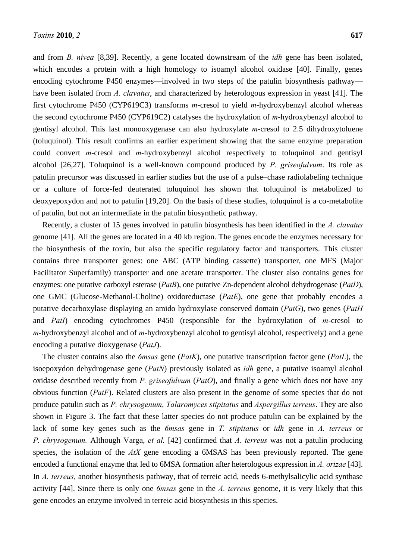and from *B. nivea* [8,39]. Recently, a gene located downstream of the *idh* gene has been isolated, which encodes a protein with a high homology to isoamyl alcohol oxidase [40]. Finally, genes encoding cytochrome P450 enzymes—involved in two steps of the patulin biosynthesis pathway have been isolated from *A. clavatus*, and characterized by heterologous expression in yeast [41]. The first cytochrome P450 (CYP619C3) transforms *m*-cresol to yield *m*-hydroxybenzyl alcohol whereas the second cytochrome P450 (CYP619C2) catalyses the hydroxylation of *m*-hydroxybenzyl alcohol to gentisyl alcohol. This last monooxygenase can also hydroxylate *m*-cresol to 2.5 dihydroxytoluene (toluquinol). This result confirms an earlier experiment showing that the same enzyme preparation could convert *m*-cresol and *m*-hydroxybenzyl alcohol respectively to toluquinol and gentisyl alcohol [26,27]. Toluquinol is a well-known compound produced by *P. griseofulvum*. Its role as patulin precursor was discussed in earlier studies but the use of a pulse–chase radiolabeling technique or a culture of force-fed deuterated toluquinol has shown that toluquinol is metabolized to deoxyepoxydon and not to patulin [19,20]. On the basis of these studies, toluquinol is a co-metabolite of patulin, but not an intermediate in the patulin biosynthetic pathway.

Recently, a cluster of 15 genes involved in patulin biosynthesis has been identified in the *A. clavatus* genome [41]. All the genes are located in a 40 kb region. The genes encode the enzymes necessary for the biosynthesis of the toxin, but also the specific regulatory factor and transporters. This cluster contains three transporter genes: one ABC (ATP binding cassette) transporter, one MFS (Major Facilitator Superfamily) transporter and one acetate transporter. The cluster also contains genes for enzymes: one putative carboxyl esterase (*PatB*), one putative Zn-dependent alcohol dehydrogenase (*PatD*), one GMC (Glucose-Methanol-Choline) oxidoreductase (*PatE*), one gene that probably encodes a putative decarboxylase displaying an amido hydroxylase conserved domain (*PatG*), two genes (*PatH* and *PatI*) encoding cytochromes P450 (responsible for the hydroxylation of *m*-cresol to *m*-hydroxybenzyl alcohol and of *m*-hydroxybenzyl alcohol to gentisyl alcohol, respectively) and a gene encoding a putative dioxygenase (*PatJ*).

The cluster contains also the *6msas* gene (*PatK*), one putative transcription factor gene (*PatL*), the isoepoxydon dehydrogenase gene (*PatN*) previously isolated as *idh* gene, a putative isoamyl alcohol oxidase described recently from *P. griseofulvum* (*PatO*), and finally a gene which does not have any obvious function (*PatF*). Related clusters are also present in the genome of some species that do not produce patulin such as *P. chrysogenum*, *Talaromyces stipitatus* and *Aspergillus terreus*. They are also shown in Figure 3. The fact that these latter species do not produce patulin can be explained by the lack of some key genes such as the *6msas* gene in *T. stipitatus* or *idh* gene in *A. terreus* or *P. chrysogenum.* Although Varga, *et al.* [42] confirmed that *A. terreus* was not a patulin producing species, the isolation of the *AtX* gene encoding a 6MSAS has been previously reported. The gene encoded a functional enzyme that led to 6MSA formation after heterologous expression in *A. orizae* [43]. In *A. terreus*, another biosynthesis pathway, that of terreic acid, needs 6-methylsalicylic acid synthase activity [44]. Since there is only one *6msas* gene in the *A. terreus* genome, it is very likely that this gene encodes an enzyme involved in terreic acid biosynthesis in this species.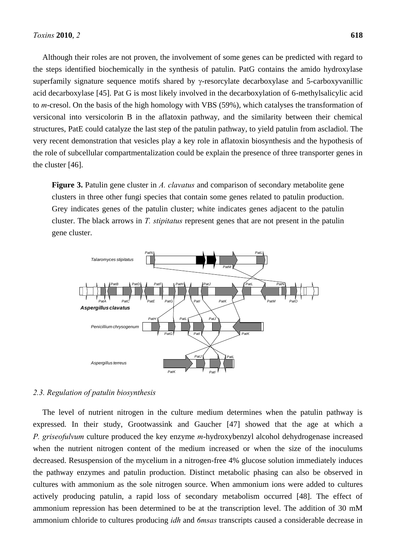Although their roles are not proven, the involvement of some genes can be predicted with regard to the steps identified biochemically in the synthesis of patulin. PatG contains the amido hydroxylase superfamily signature sequence motifs shared by  $\gamma$ -resorcylate decarboxylase and 5-carboxyvanillic acid decarboxylase [45]. Pat G is most likely involved in the decarboxylation of 6-methylsalicylic acid to *m*-cresol. On the basis of the high homology with VBS (59%), which catalyses the transformation of versiconal into versicolorin B in the aflatoxin pathway, and the similarity between their chemical structures, PatE could catalyze the last step of the patulin pathway, to yield patulin from ascladiol. The very recent demonstration that vesicles play a key role in aflatoxin biosynthesis and the hypothesis of the role of subcellular compartmentalization could be explain the presence of three transporter genes in the cluster [46].

**Figure 3.** Patulin gene cluster in *A. clavatus* and comparison of secondary metabolite gene clusters in three other fungi species that contain some genes related to patulin production. Grey indicates genes of the patulin cluster; white indicates genes adjacent to the patulin cluster. The black arrows in *T. stipitatus* represent genes that are not present in the patulin gene cluster.



#### *2.3. Regulation of patulin biosynthesis*

The level of nutrient nitrogen in the culture medium determines when the patulin pathway is expressed. In their study, Grootwassink and Gaucher [47] showed that the age at which a *P. griseofulvum* culture produced the key enzyme *m*-hydroxybenzyl alcohol dehydrogenase increased when the nutrient nitrogen content of the medium increased or when the size of the inoculums decreased. Resuspension of the mycelium in a nitrogen-free 4% glucose solution immediately induces the pathway enzymes and patulin production. Distinct metabolic phasing can also be observed in cultures with ammonium as the sole nitrogen source. When ammonium ions were added to cultures actively producing patulin, a rapid loss of secondary metabolism occurred [48]. The effect of ammonium repression has been determined to be at the transcription level. The addition of 30 mM ammonium chloride to cultures producing *idh* and *6msas* transcripts caused a considerable decrease in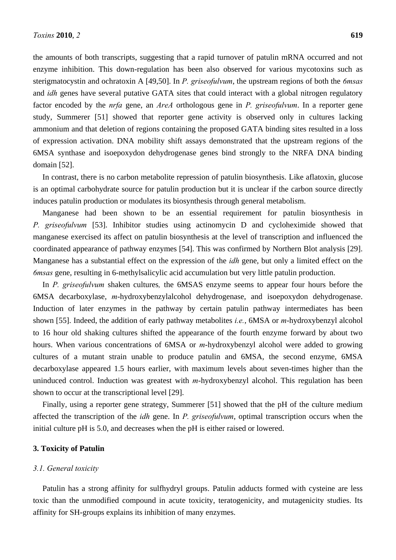the amounts of both transcripts, suggesting that a rapid turnover of patulin mRNA occurred and not enzyme inhibition. This down-regulation has been also observed for various mycotoxins such as sterigmatocystin and ochratoxin A [49,50]. In *P. griseofulvum*, the upstream regions of both the *6msas* and *idh* genes have several putative GATA sites that could interact with a global nitrogen regulatory factor encoded by the *nrfa* gene, an *AreA* orthologous gene in *P. griseofulvum*. In a reporter gene study, Summerer [51] showed that reporter gene activity is observed only in cultures lacking ammonium and that deletion of regions containing the proposed GATA binding sites resulted in a loss of expression activation. DNA mobility shift assays demonstrated that the upstream regions of the 6MSA synthase and isoepoxydon dehydrogenase genes bind strongly to the NRFA DNA binding domain [52].

In contrast, there is no carbon metabolite repression of patulin biosynthesis. Like aflatoxin, glucose is an optimal carbohydrate source for patulin production but it is unclear if the carbon source directly induces patulin production or modulates its biosynthesis through general metabolism.

Manganese had been shown to be an essential requirement for patulin biosynthesis in *P. griseofulvum* [53]. Inhibitor studies using actinomycin D and cycloheximide showed that manganese exercised its affect on patulin biosynthesis at the level of transcription and influenced the coordinated appearance of pathway enzymes [54]. This was confirmed by Northern Blot analysis [29]. Manganese has a substantial effect on the expression of the *idh* gene, but only a limited effect on the *6msas* gene, resulting in 6-methylsalicylic acid accumulation but very little patulin production.

In *P. griseofulvum* shaken cultures*,* the 6MSAS enzyme seems to appear four hours before the 6MSA decarboxylase, *m*-hydroxybenzylalcohol dehydrogenase, and isoepoxydon dehydrogenase. Induction of later enzymes in the pathway by certain patulin pathway intermediates has been shown [55]. Indeed, the addition of early pathway metabolites *i.e.*, 6MSA or *m*-hydroxybenzyl alcohol to 16 hour old shaking cultures shifted the appearance of the fourth enzyme forward by about two hours. When various concentrations of 6MSA or *m*-hydroxybenzyl alcohol were added to growing cultures of a mutant strain unable to produce patulin and 6MSA, the second enzyme, 6MSA decarboxylase appeared 1.5 hours earlier, with maximum levels about seven-times higher than the uninduced control. Induction was greatest with *m*-hydroxybenzyl alcohol. This regulation has been shown to occur at the transcriptional level [29].

Finally, using a reporter gene strategy, Summerer [51] showed that the pH of the culture medium affected the transcription of the *idh* gene. In *P. griseofulvum*, optimal transcription occurs when the initial culture pH is 5.0, and decreases when the pH is either raised or lowered.

## **3. Toxicity of Patulin**

## *3.1. General toxicity*

Patulin has a strong affinity for sulfhydryl groups. Patulin adducts formed with cysteine are less toxic than the unmodified compound in acute toxicity, teratogenicity, and mutagenicity studies. Its affinity for SH-groups explains its inhibition of many enzymes.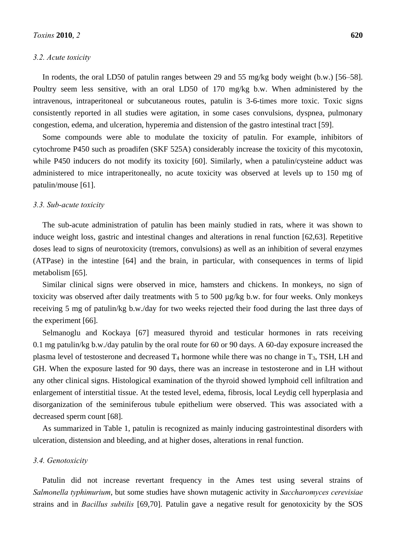#### *3.2. Acute toxicity*

In rodents, the oral LD50 of patulin ranges between 29 and 55 mg/kg body weight (b.w.) [56–58]. Poultry seem less sensitive, with an oral LD50 of 170 mg/kg b.w. When administered by the intravenous, intraperitoneal or subcutaneous routes, patulin is 3-6-times more toxic. Toxic signs consistently reported in all studies were agitation, in some cases convulsions, dyspnea, pulmonary congestion, edema, and ulceration, hyperemia and distension of the gastro intestinal tract [59].

Some compounds were able to modulate the toxicity of patulin. For example, inhibitors of cytochrome P450 such as proadifen (SKF 525A) considerably increase the toxicity of this mycotoxin, while P450 inducers do not modify its toxicity [60]. Similarly, when a patulin/cysteine adduct was administered to mice intraperitoneally, no acute toxicity was observed at levels up to 150 mg of patulin/mouse [61].

#### *3.3. Sub-acute toxicity*

The sub-acute administration of patulin has been mainly studied in rats, where it was shown to induce weight loss, gastric and intestinal changes and alterations in renal function [62,63]. Repetitive doses lead to signs of neurotoxicity (tremors, convulsions) as well as an inhibition of several enzymes (ATPase) in the intestine [64] and the brain, in particular, with consequences in terms of lipid metabolism [65].

Similar clinical signs were observed in mice, hamsters and chickens. In monkeys, no sign of toxicity was observed after daily treatments with 5 to 500 µg/kg b.w. for four weeks. Only monkeys receiving 5 mg of patulin/kg b.w./day for two weeks rejected their food during the last three days of the experiment [66].

Selmanoglu and Kockaya [67] measured thyroid and testicular hormones in rats receiving 0.1 mg patulin/kg b.w./day patulin by the oral route for 60 or 90 days. A 60-day exposure increased the plasma level of testosterone and decreased  $T_4$  hormone while there was no change in  $T_3$ , TSH, LH and GH. When the exposure lasted for 90 days, there was an increase in testosterone and in LH without any other clinical signs. Histological examination of the thyroid showed lymphoid cell infiltration and enlargement of interstitial tissue. At the tested level, edema, fibrosis, local Leydig cell hyperplasia and disorganization of the seminiferous tubule epithelium were observed. This was associated with a decreased sperm count [68].

As summarized in Table 1, patulin is recognized as mainly inducing gastrointestinal disorders with ulceration, distension and bleeding, and at higher doses, alterations in renal function.

#### *3.4. Genotoxicity*

Patulin did not increase revertant frequency in the Ames test using several strains of *Salmonella typhimurium*, but some studies have shown mutagenic activity in *Saccharomyces cerevisiae* strains and in *Bacillus subtilis* [69,70]. Patulin gave a negative result for genotoxicity by the SOS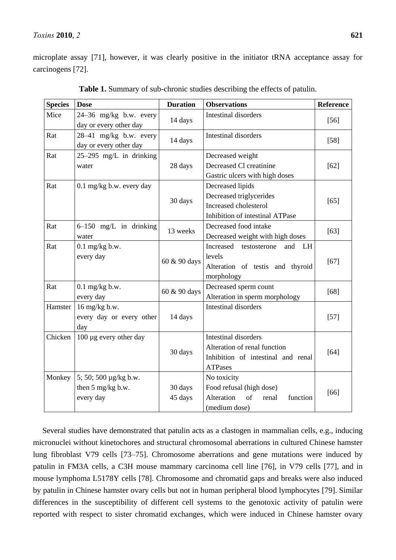## *Toxins* **2010**, *2* **621**

microplate assay [71], however, it was clearly positive in the initiator tRNA acceptance assay for carcinogens [72].

| <b>Species</b> | <b>Dose</b>                                             | <b>Duration</b>    | <b>Observations</b>                                                                                                 | <b>Reference</b> |
|----------------|---------------------------------------------------------|--------------------|---------------------------------------------------------------------------------------------------------------------|------------------|
| Mice           | $24-36$ mg/kg b.w. every<br>day or every other day      | 14 days            | <b>Intestinal disorders</b>                                                                                         | $[56]$           |
| Rat            | $28-41$ mg/kg b.w. every<br>day or every other day      | 14 days            | Intestinal disorders                                                                                                | $[58]$           |
| Rat            | $25-295$ mg/L in drinking<br>water                      | 28 days            | Decreased weight<br>Decreased Cl creatinine<br>Gastric ulcers with high doses                                       | $[62]$           |
| Rat            | $0.1$ mg/kg b.w. every day                              | 30 days            | Decreased lipids<br>Decreased triglycerides<br>Increased cholesterol<br>Inhibition of intestinal ATPase             | $[65]$           |
| Rat            | $6-150$ mg/L in drinking<br>water                       | 13 weeks           | Decreased food intake<br>Decreased weight with high doses                                                           | $[63]$           |
| Rat            | $0.1$ mg/kg b.w.<br>every day                           | 60 & 90 days       | Increased<br>and<br>testosterone<br>LH<br>levels<br>Alteration of testis and thyroid<br>morphology                  | $[67]$           |
| Rat            | $0.1$ mg/kg b.w.<br>every day                           | 60 & 90 days       | Decreased sperm count<br>Alteration in sperm morphology                                                             | $[68]$           |
| Hamster        | 16 mg/kg b.w.<br>every day or every other<br>day        | 14 days            | <b>Intestinal disorders</b>                                                                                         | $[57]$           |
| Chicken        | 100 µg every other day                                  | 30 days            | <b>Intestinal disorders</b><br>Alteration of renal function<br>Inhibition of intestinal and renal<br><b>ATPases</b> | $[64]$           |
| Monkey         | 5; 50; 500 μg/kg b.w.<br>then 5 mg/kg b.w.<br>every day | 30 days<br>45 days | No toxicity<br>Food refusal (high dose)<br>Alteration<br>of<br>function<br>renal<br>(medium dose)                   | [66]             |

**Table 1.** Summary of sub-chronic studies describing the effects of patulin.

Several studies have demonstrated that patulin acts as a clastogen in mammalian cells, e.g., inducing micronuclei without kinetochores and structural chromosomal aberrations in cultured Chinese hamster lung fibroblast V79 cells [73–75]. Chromosome aberrations and gene mutations were induced by patulin in FM3A cells, a C3H mouse mammary carcinoma cell line [76], in V79 cells [77], and in mouse lymphoma L5178Y cells [78]. Chromosome and chromatid gaps and breaks were also induced by patulin in Chinese hamster ovary cells but not in human peripheral blood lymphocytes [79]. Similar differences in the susceptibility of different cell systems to the genotoxic activity of patulin were reported with respect to sister chromatid exchanges, which were induced in Chinese hamster ovary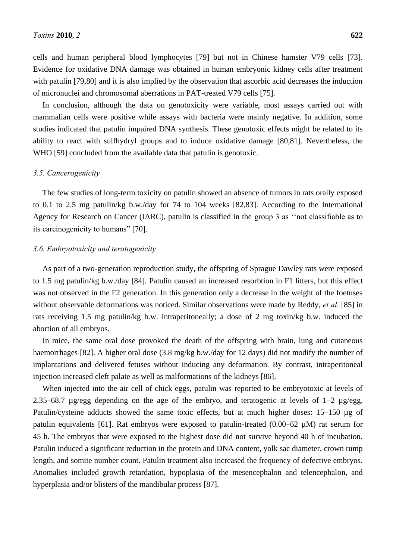cells and human peripheral blood lymphocytes [79] but not in Chinese hamster V79 cells [73]. Evidence for oxidative DNA damage was obtained in human embryonic kidney cells after treatment with patulin [79,80] and it is also implied by the observation that ascorbic acid decreases the induction of micronuclei and chromosomal aberrations in PAT-treated V79 cells [75].

In conclusion, although the data on genotoxicity were variable, most assays carried out with mammalian cells were positive while assays with bacteria were mainly negative. In addition, some studies indicated that patulin impaired DNA synthesis. These genotoxic effects might be related to its ability to react with sulfhydryl groups and to induce oxidative damage [80,81]. Nevertheless, the WHO [59] concluded from the available data that patulin is genotoxic.

## *3.5. Cancerogenicity*

The few studies of long-term toxicity on patulin showed an absence of tumors in rats orally exposed to 0.1 to 2.5 mg patulin/kg b.w./day for 74 to 104 weeks [82,83]. According to the International Agency for Research on Cancer (IARC), patulin is classified in the group 3 as "not classifiable as to its carcinogenicity to humans" [70].

## *3.6. Embryotoxicity and teratogenicity*

As part of a two-generation reproduction study, the offspring of Sprague Dawley rats were exposed to 1.5 mg patulin/kg b.w./day [84]. Patulin caused an increased resorbtion in F1 litters, but this effect was not observed in the F2 generation. In this generation only a decrease in the weight of the foetuses without observable deformations was noticed. Similar observations were made by Reddy, *et al.* [85] in rats receiving 1.5 mg patulin/kg b.w. intraperitoneally; a dose of 2 mg toxin/kg b.w. induced the abortion of all embryos.

In mice, the same oral dose provoked the death of the offspring with brain, lung and cutaneous haemorrhages [82]. A higher oral dose (3.8 mg/kg b.w./day for 12 days) did not modify the number of implantations and delivered fetuses without inducing any deformation. By contrast, intraperitoneal injection increased cleft palate as well as malformations of the kidneys [86].

When injected into the air cell of chick eggs, patulin was reported to be embryotoxic at levels of 2.35–68.7 µg/egg depending on the age of the embryo, and teratogenic at levels of  $1-2$  µg/egg. Patulin/cysteine adducts showed the same toxic effects, but at much higher doses: 15–150 µg of patulin equivalents [61]. Rat embryos were exposed to patulin-treated (0.00–62 µM) rat serum for 45 h. The embryos that were exposed to the highest dose did not survive beyond 40 h of incubation. Patulin induced a significant reduction in the protein and DNA content, yolk sac diameter, crown rump length, and somite number count. Patulin treatment also increased the frequency of defective embryos. Anomalies included growth retardation, hypoplasia of the mesencephalon and telencephalon, and hyperplasia and/or blisters of the mandibular process [87].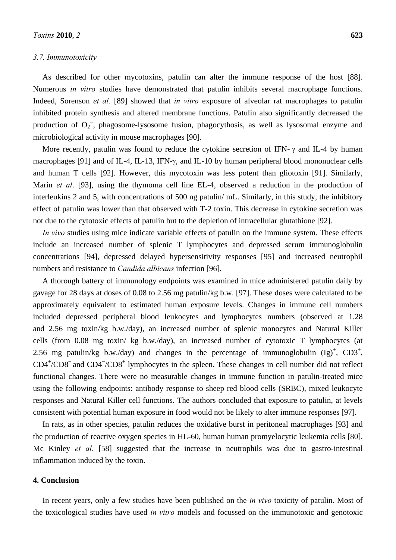#### *3.7. Immunotoxicity*

As described for other mycotoxins, patulin can alter the immune response of the host [88]. Numerous *in vitro* studies have demonstrated that patulin inhibits several macrophage functions. Indeed, Sorenson *et al.* [89] showed that *in vitro* exposure of alveolar rat macrophages to patulin inhibited protein synthesis and altered membrane functions. Patulin also significantly decreased the production of  $O_2$ , phagosome-lysosome fusion, phagocythosis, as well as lysosomal enzyme and microbiological activity in mouse macrophages [90].

More recently, patulin was found to reduce the cytokine secretion of IFN- $\gamma$  and IL-4 by human macrophages [91] and of IL-4, IL-13, IFN- $\gamma$ , and IL-10 by human peripheral blood mononuclear cells and human T cells [92]. However, this mycotoxin was less potent than gliotoxin [91]. Similarly, Marin *et al*. [93], using the thymoma cell line EL-4, observed a reduction in the production of interleukins 2 and 5, with concentrations of 500 ng patulin/ mL. Similarly, in this study, the inhibitory effect of patulin was lower than that observed with T-2 toxin. This decrease in cytokine secretion was not due to the cytotoxic effects of patulin but to the depletion of intracellular glutathione [92].

*In vivo* studies using mice indicate variable effects of patulin on the immune system. These effects include an increased number of splenic T lymphocytes and depressed serum immunoglobulin concentrations [94], depressed delayed hypersensitivity responses [95] and increased neutrophil numbers and resistance to *Candida albicans* infection [96].

A thorough battery of immunology endpoints was examined in mice administered patulin daily by gavage for 28 days at doses of 0.08 to 2.56 mg patulin/kg b.w. [97]. These doses were calculated to be approximately equivalent to estimated human exposure levels. Changes in immune cell numbers included depressed peripheral blood leukocytes and lymphocytes numbers (observed at 1.28 and 2.56 mg toxin/kg b.w./day), an increased number of splenic monocytes and Natural Killer cells (from 0.08 mg toxin/ kg b.w./day), an increased number of cytotoxic T lymphocytes (at 2.56 mg patulin/kg b.w./day) and changes in the percentage of immunoglobulin  $(Ig)^+$ , CD3<sup>+</sup>, CD4<sup>+</sup>/CD8<sup>-</sup> and CD4<sup>-</sup>/CD8<sup>+</sup> lymphocytes in the spleen. These changes in cell number did not reflect functional changes. There were no measurable changes in immune function in patulin-treated mice using the following endpoints: antibody response to sheep red blood cells (SRBC), mixed leukocyte responses and Natural Killer cell functions. The authors concluded that exposure to patulin, at levels consistent with potential human exposure in food would not be likely to alter immune responses [97].

In rats, as in other species, patulin reduces the oxidative burst in peritoneal macrophages [93] and the production of reactive oxygen species in HL-60, human human promyelocytic leukemia cells [80]. Mc Kinley *et al.* [58] suggested that the increase in neutrophils was due to gastro-intestinal inflammation induced by the toxin.

## **4. Conclusion**

In recent years, only a few studies have been published on the *in vivo* toxicity of patulin. Most of the toxicological studies have used *in vitro* models and focussed on the immunotoxic and genotoxic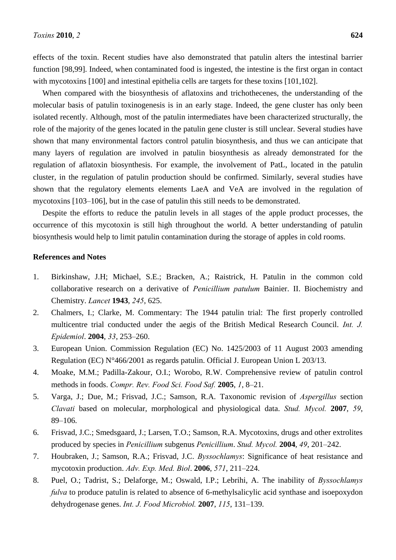effects of the toxin. Recent studies have also demonstrated that patulin alters the intestinal barrier function [98,99]. Indeed, when contaminated food is ingested, the intestine is the first organ in contact with mycotoxins [100] and intestinal epithelia cells are targets for these toxins [101,102].

When compared with the biosynthesis of aflatoxins and trichothecenes, the understanding of the molecular basis of patulin toxinogenesis is in an early stage. Indeed, the gene cluster has only been isolated recently. Although, most of the patulin intermediates have been characterized structurally, the role of the majority of the genes located in the patulin gene cluster is still unclear. Several studies have shown that many environmental factors control patulin biosynthesis, and thus we can anticipate that many layers of regulation are involved in patulin biosynthesis as already demonstrated for the regulation of aflatoxin biosynthesis. For example, the involvement of PatL, located in the patulin cluster, in the regulation of patulin production should be confirmed. Similarly, several studies have shown that the regulatory elements elements LaeA and VeA are involved in the regulation of mycotoxins [103–106], but in the case of patulin this still needs to be demonstrated.

Despite the efforts to reduce the patulin levels in all stages of the apple product processes, the occurrence of this mycotoxin is still high throughout the world. A better understanding of patulin biosynthesis would help to limit patulin contamination during the storage of apples in cold rooms.

### **References and Notes**

- 1. Birkinshaw, J.H; Michael, S.E.; Bracken, A.; Raistrick, H. Patulin in the common cold collaborative research on a derivative of *Penicillium patulum* Bainier. II. Biochemistry and Chemistry. *Lancet* **1943**, *245*, 625.
- 2. Chalmers, I.; Clarke, M. Commentary: The 1944 patulin trial: The first properly controlled multicentre trial conducted under the aegis of the British Medical Research Council. *Int. J. Epidemiol*. **2004**, *33*, 253–260.
- 3. European Union. Commission Regulation (EC) No. 1425/2003 of 11 August 2003 amending Regulation (EC) N°466/2001 as regards patulin. Official J. European Union L 203/13.
- 4. Moake, M.M.; Padilla-Zakour, O.I.; Worobo, R.W. Comprehensive review of patulin control methods in foods. *Compr. Rev. Food Sci. Food Saf.* **2005**, *1*, 8–21.
- 5. Varga, J.; Due, M.; Frisvad, J.C.; Samson, R.A. Taxonomic revision of *Aspergillus* section *Clavati* based on molecular, morphological and physiological data. *Stud. Mycol.* **2007**, *59*, 89–106.
- 6. Frisvad, J.C.; Smedsgaard, J.; Larsen, T.O.; Samson, R.A. Mycotoxins, drugs and other extrolites produced by species in *Penicillium* subgenus *Penicillium*. *Stud. Mycol.* **2004**, *49*, 201–242.
- 7. Houbraken, J.; Samson, R.A.; Frisvad, J.C. *Byssochlamys*: Significance of heat resistance and mycotoxin production. *Adv. Exp. Med. Biol*. **2006**, *571*, 211–224.
- 8. Puel, O.; Tadrist, S.; Delaforge, M.; Oswald, I.P.; Lebrihi, A. The inability of *Byssochlamys fulva* to produce patulin is related to absence of 6-methylsalicylic acid synthase and isoepoxydon dehydrogenase genes. *Int. J. Food Microbiol.* **2007**, *115*, 131–139.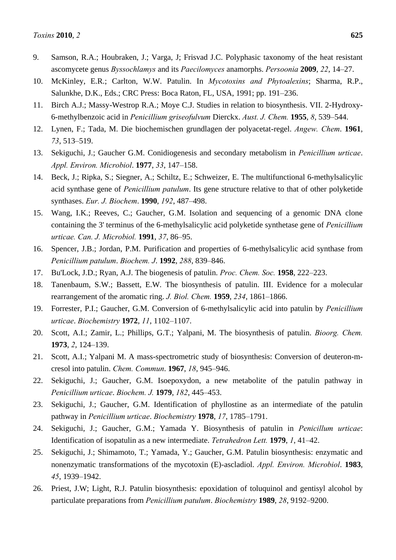- 10. McKinley, E.R.; Carlton, W.W. Patulin. In *Mycotoxins and Phytoalexins*; Sharma, R.P., Salunkhe, D.K., Eds.; CRC Press: Boca Raton, FL, USA, 1991; pp. 191–236.
- 11. Birch A.J.; Massy-Westrop R.A.; Moye C.J. Studies in relation to biosynthesis. VII. 2-Hydroxy-6-methylbenzoic acid in *Penicillium griseofulvum* Dierckx. *Aust. J. Chem.* **1955**, *8*, 539–544.
- 12. Lynen, F.; Tada, M. Die biochemischen grundlagen der polyacetat-regel. *Angew. Chem*. **1961**, *73*, 513–519.
- 13. Sekiguchi, J.; Gaucher G.M. Conidiogenesis and secondary metabolism in *Penicillium urticae*. *Appl. Environ. Microbiol*. **1977**, *33*, 147–158.
- 14. Beck, J.; Ripka, S.; Siegner, A.; Schiltz, E.; Schweizer, E. The multifunctional 6-methylsalicylic acid synthase gene of *Penicillium patulum*. Its gene structure relative to that of other polyketide synthases. *Eur. J. Biochem*. **1990**, *192*, 487–498.
- 15. Wang, I.K.; Reeves, C.; Gaucher, G.M. Isolation and sequencing of a genomic DNA clone containing the 3' terminus of the 6-methylsalicylic acid polyketide synthetase gene of *Penicillium urticae. Can. J. Microbiol.* **1991**, *37*, 86–95.
- 16. Spencer, J.B.; Jordan, P.M. Purification and properties of 6-methylsalicylic acid synthase from *Penicillium patulum*. *Biochem. J*. **1992**, *288*, 839–846.
- 17. Bu'Lock, J.D.; Ryan, A.J. The biogenesis of patulin. *Proc. Chem. Soc.* **1958**, 222–223.
- 18. Tanenbaum, S.W.; Bassett, E.W. The biosynthesis of patulin. III. Evidence for a molecular rearrangement of the aromatic ring. *J. Biol. Chem.* **1959**, *234*, 1861–1866.
- 19. Forrester, P.I.; Gaucher, G.M. Conversion of 6-methylsalicylic acid into patulin by *Penicillium urticae*. *Biochemistry* **1972**, *11*, 1102–1107.
- 20. Scott, A.I.; Zamir, L.; Phillips, G.T.; Yalpani, M. The biosynthesis of patulin. *Bioorg. Chem.*  **1973**, *2*, 124–139.
- 21. Scott, A.I.; Yalpani M. A mass-spectrometric study of biosynthesis: Conversion of deuteron-mcresol into patulin. *Chem. Commun*. **1967**, *18*, 945–946.
- 22. Sekiguchi, J.; Gaucher, G.M. Isoepoxydon, a new metabolite of the patulin pathway in *Penicillium urticae*. *Biochem. J.* **1979**, *182*, 445–453.
- 23. Sekiguchi, J.; Gaucher, G.M. Identification of phyllostine as an intermediate of the patulin pathway in *Penicillium urticae*. *Biochemistry* **1978**, *17*, 1785–1791.
- 24. Sekiguchi, J.; Gaucher, G.M.; Yamada Y. Biosynthesis of patulin in *Penicillum urticae*: Identification of isopatulin as a new intermediate. *Tetrahedron Lett.* **1979**, *1*, 41–42.
- 25. Sekiguchi, J.; Shimamoto, T.; Yamada, Y.; Gaucher, G.M. Patulin biosynthesis: enzymatic and nonenzymatic transformations of the mycotoxin (E)-ascladiol. *Appl. Environ. Microbiol*. **1983**, *45*, 1939–1942.
- 26. Priest, J.W; Light, R.J. Patulin biosynthesis: epoxidation of toluquinol and gentisyl alcohol by particulate preparations from *Penicillium patulum*. *Biochemistry* **1989**, *28*, 9192–9200.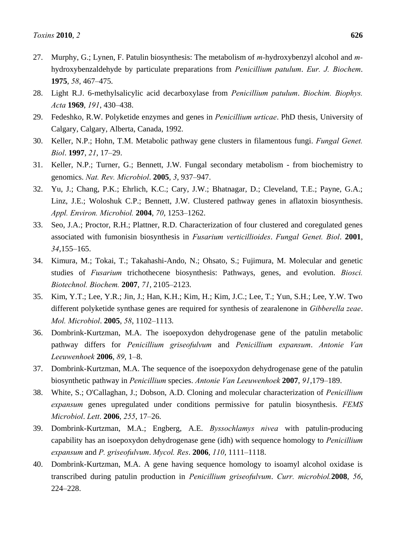- 27. Murphy, G.; Lynen, F. Patulin biosynthesis: The metabolism of *m-*hydroxybenzyl alcohol and *m*hydroxybenzaldehyde by particulate preparations from *Penicillium patulum*. *Eur. J. Biochem*. **1975**, *58*, 467–475.
- 28. Light R.J. 6-methylsalicylic acid decarboxylase from *Penicillium patulum*. *Biochim. Biophys. Acta* **1969**, *191*, 430–438.
- 29. Fedeshko, R.W. Polyketide enzymes and genes in *Penicillium urticae*. PhD thesis, University of Calgary, Calgary, Alberta, Canada, 1992.
- 30. Keller, N.P.; Hohn, T.M. Metabolic pathway gene clusters in filamentous fungi. *Fungal Genet. Biol*. **1997**, *21*, 17–29.
- 31. Keller, N.P.; Turner, G.; Bennett, J.W. Fungal secondary metabolism from biochemistry to genomics. *Nat. Rev. Microbiol*. **2005**, *3*, 937–947.
- 32. Yu, J.; Chang, P.K.; Ehrlich, K.C.; Cary, J.W.; Bhatnagar, D.; Cleveland, T.E.; Payne, G.A.; Linz, J.E.; Woloshuk C.P.; Bennett, J.W. Clustered pathway genes in aflatoxin biosynthesis. *Appl. Environ. Microbiol.* **2004**, *70*, 1253–1262.
- 33. Seo, J.A.; Proctor, R.H.; Plattner, R.D. Characterization of four clustered and coregulated genes associated with fumonisin biosynthesis in *Fusarium verticillioides*. *Fungal Genet. Biol*. **2001**, *34*,155–165.
- 34. Kimura, M.; Tokai, T.; Takahashi-Ando, N.; Ohsato, S.; Fujimura, M. Molecular and genetic studies of *Fusarium* trichothecene biosynthesis: Pathways, genes, and evolution. *Biosci. Biotechnol. Biochem.* **2007**, *71*, 2105–2123.
- 35. Kim, Y.T.; Lee, Y.R.; Jin, J.; Han, K.H.; Kim, H.; Kim, J.C.; Lee, T.; Yun, S.H.; Lee, Y.W. Two different polyketide synthase genes are required for synthesis of zearalenone in *Gibberella zeae*. *Mol. Microbiol*. **2005**, *58*, 1102–1113.
- 36. Dombrink-Kurtzman, M.A. The isoepoxydon dehydrogenase gene of the patulin metabolic pathway differs for *Penicillium griseofulvum* and *Penicillium expansum*. *Antonie Van Leeuwenhoek* **2006**, *89*, 1–8.
- 37. Dombrink-Kurtzman, M.A. The sequence of the isoepoxydon dehydrogenase gene of the patulin biosynthetic pathway in *Penicillium* species. *Antonie Van Leeuwenhoek* **2007**, *91*,179–189.
- 38. White, S.; O'Callaghan, J.; Dobson, A.D. Cloning and molecular characterization of *Penicillium expansum* genes upregulated under conditions permissive for patulin biosynthesis. *FEMS Microbiol*. *Lett*. **2006**, *255*, 17–26.
- 39. Dombrink-Kurtzman, M.A.; Engberg, A.E. *Byssochlamys nivea* with patulin-producing capability has an isoepoxydon dehydrogenase gene (idh) with sequence homology to *Penicillium expansum* and *P. griseofulvum*. *Mycol. Res*. **2006**, *110*, 1111–1118.
- 40. Dombrink-Kurtzman, M.A. A gene having sequence homology to isoamyl alcohol oxidase is transcribed during patulin production in *Penicillium griseofulvum*. *Curr. microbiol.***2008**, *56*, 224–228.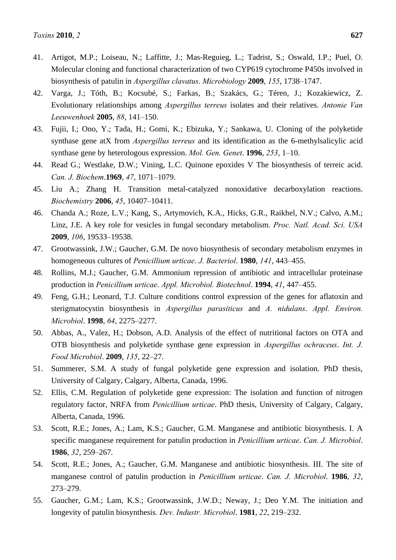- 41. Artigot, M.P.; Loiseau, N.; Laffitte, J.; Mas-Reguieg, L.; Tadrist, S.; Oswald, I.P.; Puel, O. Molecular cloning and functional characterization of two CYP619 cytochrome P450s involved in biosynthesis of patulin in *Aspergillus clavatus*. *Microbiology* **2009**, *155*, 1738–1747.
- 42. Varga, J.; Tóth, B.; Kocsubé, S.; Farkas, B.; Szakács, G.; Téren, J.; Kozakiewicz, Z. Evolutionary relationships among *Aspergillus terreus* isolates and their relatives. *Antonie Van Leeuwenhoek* **2005**, *88*, 141–150.
- 43. Fujii, I.; Ono, Y.; Tada, H.; Gomi, K.; Ebizuka, Y.; Sankawa, U. Cloning of the polyketide synthase gene atX from *Aspergillus terreus* and its identification as the 6-methylsalicylic acid synthase gene by heterologous expression. *Mol. Gen. Genet*. **1996**, *253*, 1–10.
- 44. Read G.; Westlake, D.W.; Vining, L.C. Quinone epoxides V The biosynthesis of terreic acid. *Can. J. Biochem*.**1969**, *47*, 1071–1079.
- 45. Liu A.; Zhang H. Transition metal-catalyzed nonoxidative decarboxylation reactions. *Biochemistry* **2006**, *45*, 10407–10411.
- 46. Chanda A.; Roze, L.V.; Kang, S., Artymovich, K.A., Hicks, G.R., Raikhel, N.V.; Calvo, A.M.; Linz, J.E. A key role for vesicles in fungal secondary metabolism. *Proc. Natl. Acad. Sci. USA* **2009**, *106*, 19533–19538.
- 47. Grootwassink, J.W.; Gaucher, G.M. De novo biosynthesis of secondary metabolism enzymes in homogeneous cultures of *Penicillium urticae*. *J. Bacteriol*. **1980**, *141*, 443–455.
- 48. Rollins, M.J.; Gaucher, G.M. Ammonium repression of antibiotic and intracellular proteinase production in *Penicillium urticae*. *Appl. Microbiol. Biotechnol*. **1994**, *41*, 447–455.
- 49. Feng, G.H.; Leonard, T.J. Culture conditions control expression of the genes for aflatoxin and sterigmatocystin biosynthesis in *Aspergillus parasiticus* and *A. nidulans*. *Appl. Environ. Microbiol*. **1998**, *64*, 2275–2277.
- 50. Abbas, A., Valez, H.; Dobson, A.D. Analysis of the effect of nutritional factors on OTA and OTB biosynthesis and polyketide synthase gene expression in *Aspergillus ochraceus*. *Int. J. Food Microbiol*. **2009**, *135*, 22–27.
- 51. Summerer, S.M. A study of fungal polyketide gene expression and isolation. PhD thesis, University of Calgary, Calgary, Alberta, Canada, 1996.
- 52. Ellis, C.M. Regulation of polyketide gene expression: The isolation and function of nitrogen regulatory factor, NRFA from *Penicillium urticae*. PhD thesis, University of Calgary, Calgary, Alberta, Canada, 1996.
- 53. Scott, R.E.; Jones, A.; Lam, K.S.; Gaucher, G.M. Manganese and antibiotic biosynthesis. I. A specific manganese requirement for patulin production in *Penicillium urticae*. *Can. J. Microbiol*. **1986**, *32*, 259–267.
- 54. Scott, R.E.; Jones, A.; Gaucher, G.M. Manganese and antibiotic biosynthesis. III. The site of manganese control of patulin production in *Penicillium urticae*. *Can. J. Microbiol*. **1986**, *32*, 273–279.
- 55. Gaucher, G.M.; Lam, K.S.; Grootwassink, J.W.D.; Neway, J.; Deo Y.M. The initiation and longevity of patulin biosynthesis*. Dev. Industr. Microbiol*. **1981**, *22*, 219–232.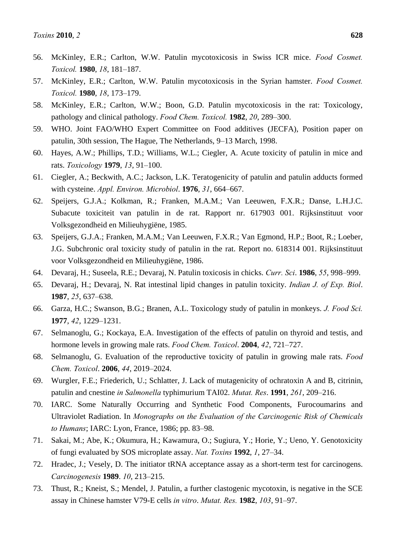- 56. McKinley, E.R.; Carlton, W.W. Patulin mycotoxicosis in Swiss ICR mice. *Food Cosmet. Toxicol.* **1980**, *18*, 181–187.
- 57. McKinley, E.R.; Carlton, W.W. Patulin mycotoxicosis in the Syrian hamster. *Food Cosmet. Toxicol.* **1980**, *18*, 173–179.
- 58. McKinley, E.R.; Carlton, W.W.; Boon, G.D. Patulin mycotoxicosis in the rat: Toxicology, pathology and clinical pathology. *Food Chem. Toxicol.* **1982**, *20*, 289–300.
- 59. WHO. Joint FAO/WHO Expert Committee on Food additives (JECFA), Position paper on patulin, 30th session, The Hague, The Netherlands, 9–13 March, 1998.
- 60. Hayes, A.W.; Phillips, T.D.; Williams, W.L.; Ciegler, A. Acute toxicity of patulin in mice and rats. *Toxicology* **1979**, *13*, 91–100.
- 61. Ciegler, A.; Beckwith, A.C.; Jackson, L.K. Teratogenicity of patulin and patulin adducts formed with cysteine. *Appl. Environ. Microbiol*. **1976**, *31*, 664–667.
- 62. Speijers, G.J.A.; Kolkman, R.; Franken, M.A.M.; Van Leeuwen, F.X.R.; Danse, L.H.J.C. Subacute toxiciteit van patulin in de rat. Rapport nr. 617903 001. Rijksinstituut voor Volksgezondheid en Milieuhygiëne, 1985.
- 63. Speijers, G.J.A.; Franken, M.A.M.; Van Leeuwen, F.X.R.; Van Egmond, H.P.; Boot, R.; Loeber, J.G. Subchronic oral toxicity study of patulin in the rat. Report no. 618314 001. Rijksinstituut voor Volksgezondheid en Milieuhygiëne, 1986.
- 64. Devaraj, H.; Suseela, R.E.; Devaraj, N. Patulin toxicosis in chicks. *Curr. Sci*. **1986**, *55*, 998–999.
- 65. Devaraj, H.; Devaraj, N. Rat intestinal lipid changes in patulin toxicity. *Indian J. of Exp. Biol*. **1987**, *25*, 637–638.
- 66. Garza, H.C.; Swanson, B.G.; Branen, A.L. Toxicology study of patulin in monkeys. *J. Food Sci.*  **1977**, *42*, 1229–1231.
- 67. Selmanoglu, G.; Kockaya, E.A. Investigation of the effects of patulin on thyroid and testis, and hormone levels in growing male rats. *Food Chem. Toxicol*. **2004**, *42*, 721–727.
- 68. Selmanoglu, G. Evaluation of the reproductive toxicity of patulin in growing male rats. *Food Chem. Toxicol*. **2006**, *44*, 2019–2024.
- 69. Wurgler, F.E.; Friederich, U.; Schlatter, J. Lack of mutagenicity of ochratoxin A and B, citrinin, patulin and cnestine *in Salmonella* typhimurium TAI02. *Mutat. Res*. **1991**, *261*, 209–216.
- 70. IARC. Some Naturally Occurring and Synthetic Food Components, Furocoumarins and Ultraviolet Radiation. In *Monographs on the Evaluation of the Carcinogenic Risk of Chemicals to Humans*; IARC: Lyon, France, 1986; pp. 83–98.
- 71. Sakai, M.; Abe, K.; Okumura, H.; Kawamura, O.; Sugiura, Y.; Horie, Y.; Ueno, Y. Genotoxicity of fungi evaluated by SOS microplate assay. *Nat. Toxins* **1992**, *1*, 27–34.
- 72. Hradec, J.; Vesely, D. The initiator tRNA acceptance assay as a short-term test for carcinogens. *Carcinogenesis* **1989**. *10*, 213–215.
- 73. Thust, R.; Kneist, S.; Mendel, J. Patulin, a further clastogenic mycotoxin, is negative in the SCE assay in Chinese hamster V79-E cells *in vitro*. *Mutat. Res.* **1982**, *103*, 91–97.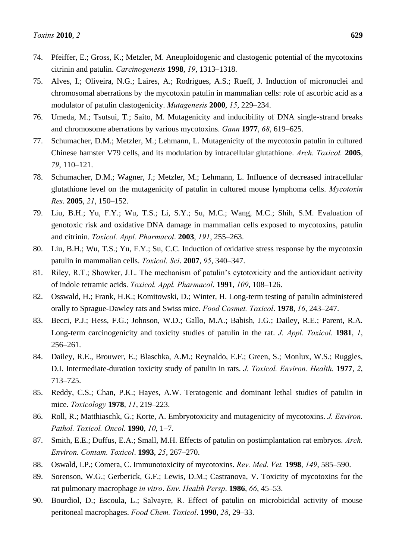- 74. Pfeiffer, E.; Gross, K.; Metzler, M. Aneuploidogenic and clastogenic potential of the mycotoxins citrinin and patulin. *Carcinogenesis* **1998**, *19*, 1313–1318.
- 75. Alves, I.; Oliveira, N.G.; Laires, A.; Rodrigues, A.S.; Rueff, J. Induction of micronuclei and chromosomal aberrations by the mycotoxin patulin in mammalian cells: role of ascorbic acid as a modulator of patulin clastogenicity. *Mutagenesis* **2000**, *15*, 229–234.
- 76. Umeda, M.; Tsutsui, T.; Saito, M. Mutagenicity and inducibility of DNA single-strand breaks and chromosome aberrations by various mycotoxins. *Gann* **1977**, *68*, 619–625.
- 77. Schumacher, D.M.; Metzler, M.; Lehmann, L. Mutagenicity of the mycotoxin patulin in cultured Chinese hamster V79 cells, and its modulation by intracellular glutathione. *Arch. Toxicol.* **2005**, *79*, 110–121.
- 78. Schumacher, D.M.; Wagner, J.; Metzler, M.; Lehmann, L. Influence of decreased intracellular glutathione level on the mutagenicity of patulin in cultured mouse lymphoma cells. *Mycotoxin Res*. **2005**, *21*, 150–152.
- 79. Liu, B.H.; Yu, F.Y.; Wu, T.S.; Li, S.Y.; Su, M.C.; Wang, M.C.; Shih, S.M. Evaluation of genotoxic risk and oxidative DNA damage in mammalian cells exposed to mycotoxins, patulin and citrinin. *Toxicol. Appl. Pharmacol*. **2003**, *191*, 255–263.
- 80. Liu, B.H.; Wu, T.S.; Yu, F.Y.; Su, C.C. Induction of oxidative stress response by the mycotoxin patulin in mammalian cells. *Toxicol. Sci*. **2007**, *95*, 340–347.
- 81. Riley, R.T.; Showker, J.L. The mechanism of patulin's cytotoxicity and the antioxidant activity of indole tetramic acids. *Toxicol. Appl. Pharmacol*. **1991**, *109*, 108–126.
- 82. Osswald, H.; Frank, H.K.; Komitowski, D.; Winter, H. Long-term testing of patulin administered orally to Sprague-Dawley rats and Swiss mice. *Food Cosmet. Toxicol*. **1978**, *16*, 243–247.
- 83. Becci, P.J.; Hess, F.G.; Johnson, W.D.; Gallo, M.A.; Babish, J.G.; Dailey, R.E.; Parent, R.A. Long-term carcinogenicity and toxicity studies of patulin in the rat. *J. Appl. Toxicol.* **1981**, *1*, 256–261.
- 84. Dailey, R.E., Brouwer, E.; Blaschka, A.M.; Reynaldo, E.F.; Green, S.; Monlux, W.S.; Ruggles, D.I. Intermediate-duration toxicity study of patulin in rats. *J. Toxicol. Environ. Health.* **1977**, *2*, 713–725.
- 85. Reddy, C.S.; Chan, P.K.; Hayes, A.W. Teratogenic and dominant lethal studies of patulin in mice. *Toxicology* **1978**, *11*, 219–223.
- 86. Roll, R.; Matthiaschk, G.; Korte, A. Embryotoxicity and mutagenicity of mycotoxins. *J. Environ. Pathol. Toxicol. Oncol.* **1990**, *10*, 1–7.
- 87. Smith, E.E.; Duffus, E.A.; Small, M.H. Effects of patulin on postimplantation rat embryos. *Arch. Environ. Contam. Toxicol*. **1993**, *25*, 267–270.
- 88. Oswald, I.P.; Comera, C. Immunotoxicity of mycotoxins. *Rev. Med. Vet.* **1998**, *149*, 585–590.
- 89. Sorenson, W.G.; Gerberick, G.F.; Lewis, D.M.; Castranova, V. Toxicity of mycotoxins for the rat pulmonary macrophage *in vitro*. *Env. Health Persp*. **1986**, *66*, 45–53.
- 90. Bourdiol, D.; Escoula, L.; Salvayre, R. Effect of patulin on microbicidal activity of mouse peritoneal macrophages. *Food Chem. Toxicol*. **1990**, *28*, 29–33.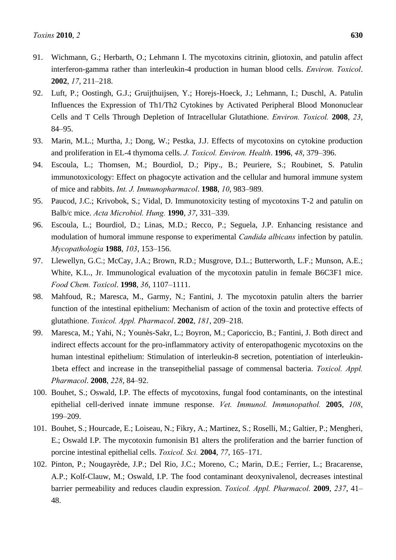- 91. Wichmann, G.; Herbarth, O.; Lehmann I. The mycotoxins citrinin, gliotoxin, and patulin affect interferon-gamma rather than interleukin-4 production in human blood cells. *Environ. Toxicol*. **2002**, *17*, 211–218.
- 92. Luft, P.; Oostingh, G.J.; Gruijthuijsen, Y.; Horejs-Hoeck, J.; Lehmann, I.; Duschl, A. Patulin Influences the Expression of Th1/Th2 Cytokines by Activated Peripheral Blood Mononuclear Cells and T Cells Through Depletion of Intracellular Glutathione. *Environ. Toxicol.* **2008**, *23*, 84–95.
- 93. Marin, M.L.; Murtha, J.; Dong, W.; Pestka, J.J. Effects of mycotoxins on cytokine production and proliferation in EL-4 thymoma cells. *J. Toxicol. Environ. Health*. **1996**, *48*, 379–396.
- 94. Escoula, L.; Thomsen, M.; Bourdiol, D.; Pipy., B.; Peuriere, S.; Roubinet, S. Patulin immunotoxicology: Effect on phagocyte activation and the cellular and humoral immune system of mice and rabbits. *Int. J. Immunopharmacol*. **1988**, *10*, 983–989.
- 95. Paucod, J.C.; Krivobok, S.; Vidal, D. Immunotoxicity testing of mycotoxins T-2 and patulin on Balb/c mice. *Acta Microbiol. Hung.* **1990**, *37*, 331–339.
- 96. Escoula, L.; Bourdiol, D.; Linas, M.D.; Recco, P.; Seguela, J.P. Enhancing resistance and modulation of humoral immune response to experimental *Candida albicans* infection by patulin. *Mycopathologia* **1988**, *103*, 153–156.
- 97. Llewellyn, G.C.; McCay, J.A.; Brown, R.D.; Musgrove, D.L.; Butterworth, L.F.; Munson, A.E.; White, K.L., Jr. Immunological evaluation of the mycotoxin patulin in female B6C3F1 mice. *Food Chem. Toxicol*. **1998**, *36*, 1107–1111.
- 98. Mahfoud, R.; Maresca, M., Garmy, N.; Fantini, J. The mycotoxin patulin alters the barrier function of the intestinal epithelium: Mechanism of action of the toxin and protective effects of glutathione. *Toxicol. Appl. Pharmacol*. **2002**, *181*, 209–218.
- 99. Maresca, M.; Yahi, N.; Younès-Sakr, L.; Boyron, M.; Caporiccio, B.; Fantini, J. Both direct and indirect effects account for the pro-inflammatory activity of enteropathogenic mycotoxins on the human intestinal epithelium: Stimulation of interleukin-8 secretion, potentiation of interleukin-1beta effect and increase in the transepithelial passage of commensal bacteria. *Toxicol. Appl. Pharmacol*. **2008**, *228*, 84–92.
- 100. Bouhet, S.; Oswald, I.P. The effects of mycotoxins, fungal food contaminants, on the intestinal epithelial cell-derived innate immune response. *Vet. Immunol. Immunopathol.* **2005**, *108*, 199–209.
- 101. Bouhet, S.; Hourcade, E.; Loiseau, N.; Fikry, A.; Martinez, S.; Roselli, M.; Galtier, P.; Mengheri, E.; Oswald I.P. The mycotoxin fumonisin B1 alters the proliferation and the barrier function of porcine intestinal epithelial cells. *Toxicol. Sci.* **2004**, *77*, 165–171.
- 102. Pinton, P.; Nougayrède, J.P.; Del Rio, J.C.; Moreno, C.; Marin, D.E.; Ferrier, L.; Bracarense, A.P.; Kolf-Clauw, M.; Oswald, I.P. The food contaminant deoxynivalenol, decreases intestinal barrier permeability and reduces claudin expression. *Toxicol. Appl. Pharmacol.* **2009**, *237*, 41– 48.